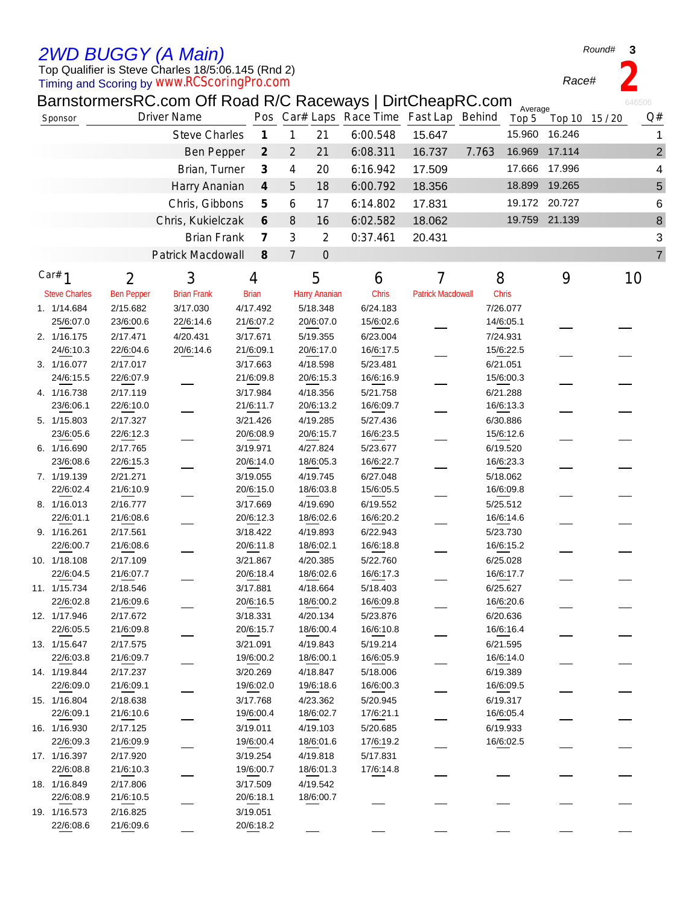## *2WD BUGGY (A Main)*

Top Qualifier is Steve Charles 18/5:06.145 (Rnd 2)

Timing and Scoring by *www.RCScoringPro.com*

BarnstormersRC.com Off Road R/C Raceways | DirtCheapRC.com

| Sponsor                  |                       | <b>Driver Name</b>   |                             |                |                       | Pos Car# Laps Race Time Fast Lap Behind |                          |       | Average<br>Top 5      |               | Top 10 15 / 20 | Q#                      |
|--------------------------|-----------------------|----------------------|-----------------------------|----------------|-----------------------|-----------------------------------------|--------------------------|-------|-----------------------|---------------|----------------|-------------------------|
|                          |                       | <b>Steve Charles</b> | $\boldsymbol{\mathcal{I}}$  | $\mathbf{1}$   | 21                    | 6:00.548                                | 15.647                   |       | 15.960                | 16.246        |                | 1                       |
|                          |                       | <b>Ben Pepper</b>    | $\mathcal{Z}_{\mathcal{C}}$ | $\overline{2}$ | 21                    | 6:08.311                                | 16.737                   | 7.763 | 16.969                | 17.114        |                | $\overline{\mathbf{c}}$ |
|                          |                       | Brian, Turner        | $\boldsymbol{\beta}$        | 4              | 20                    | 6:16.942                                | 17.509                   |       |                       | 17.666 17.996 |                | 4                       |
|                          |                       | Harry Ananian        | $\boldsymbol{4}$            | 5              | 18                    | 6:00.792                                | 18.356                   |       | 18.899                | 19.265        |                | 5                       |
|                          |                       |                      |                             |                |                       |                                         |                          |       |                       | 19.172 20.727 |                |                         |
|                          |                       | Chris, Gibbons       | 5                           | 6              | 17                    | 6:14.802                                | 17.831                   |       |                       |               |                | 6                       |
|                          |                       | Chris, Kukielczak    | 6                           | $\, 8$         | 16                    | 6:02.582                                | 18.062                   |       |                       | 19.759 21.139 |                | 8                       |
|                          |                       | <b>Brian Frank</b>   | $\overline{\mathcal{L}}$    | 3              | $\overline{2}$        | 0:37.461                                | 20.431                   |       |                       |               |                | 3                       |
|                          |                       | Patrick Macdowall    | $\mathcal S$                | $\overline{7}$ | $\mathbf 0$           |                                         |                          |       |                       |               |                | 7                       |
| Car# $1$                 | $\overline{2}$        | 3                    | 4                           |                | 5                     | 6                                       | 7                        |       | 8                     | 9             | 10             |                         |
| <b>Steve Charles</b>     | <b>Ben Pepper</b>     | <b>Brian Frank</b>   | <b>Brian</b>                |                | <b>Harry Ananian</b>  | Chris                                   | <b>Patrick Macdowall</b> |       | <b>Chris</b>          |               |                |                         |
| 1. 1/14.684              | 2/15.682              | 3/17.030             | 4/17.492                    |                | 5/18.348              | 6/24.183                                |                          |       | 7/26.077              |               |                |                         |
| 25/6:07.0                | 23/6:00.6             | 22/6:14.6            | 21/6:07.2                   |                | 20/6:07.0             | 15/6:02.6                               |                          |       | 14/6:05.1             |               |                |                         |
| 2. 1/16.175              | 2/17.471              | 4/20.431             | 3/17.671                    |                | 5/19.355              | 6/23.004                                |                          |       | 7/24.931              |               |                |                         |
| 24/6:10.3                | 22/6:04.6             | 20/6:14.6            | 21/6:09.1                   |                | 20/6:17.0             | 16/6:17.5                               |                          |       | 15/6:22.5             |               |                |                         |
| 3. 1/16.077              | 2/17.017              |                      | 3/17.663                    |                | 4/18.598              | 5/23.481                                |                          |       | 6/21.051              |               |                |                         |
| 24/6:15.5                | 22/6:07.9             |                      | 21/6:09.8                   |                | 20/6:15.3             | 16/6:16.9                               |                          |       | 15/6:00.3             |               |                |                         |
| 4. 1/16.738              | 2/17.119              |                      | 3/17.984                    |                | 4/18.356              | 5/21.758                                |                          |       | 6/21.288              |               |                |                         |
| 23/6:06.1                | 22/6:10.0             |                      | 21/6:11.7                   |                | 20/6:13.2             | 16/6:09.7                               |                          |       | 16/6:13.3             |               |                |                         |
| 5. 1/15.803              | 2/17.327              |                      | 3/21.426                    |                | 4/19.285              | 5/27.436                                |                          |       | 6/30.886              |               |                |                         |
| 23/6:05.6                | 22/6:12.3             |                      | 20/6:08.9                   |                | 20/6:15.7             | 16/6:23.5                               |                          |       | 15/6:12.6             |               |                |                         |
| 6. 1/16.690              |                       |                      | 3/19.971                    |                |                       |                                         |                          |       |                       |               |                |                         |
| 23/6:08.6                | 2/17.765              |                      | 20/6:14.0                   |                | 4/27.824<br>18/6:05.3 | 5/23.677                                |                          |       | 6/19.520<br>16/6:23.3 |               |                |                         |
|                          | 22/6:15.3             |                      |                             |                |                       | 16/6:22.7                               |                          |       |                       |               |                |                         |
| 7. 1/19.139<br>22/6:02.4 | 2/21.271<br>21/6:10.9 |                      | 3/19.055<br>20/6:15.0       |                | 4/19.745<br>18/6:03.8 | 6/27.048                                |                          |       | 5/18.062              |               |                |                         |
|                          |                       |                      |                             |                |                       | 15/6:05.5                               |                          |       | 16/6:09.8             |               |                |                         |
| 8. 1/16.013              | 2/16.777              |                      | 3/17.669                    |                | 4/19.690              | 6/19.552                                |                          |       | 5/25.512              |               |                |                         |
| 22/6:01.1                | 21/6:08.6             |                      | 20/6:12.3                   |                | 18/6:02.6             | 16/6:20.2                               |                          |       | 16/6:14.6             |               |                |                         |
| 9. 1/16.261              | 2/17.561              |                      | 3/18.422                    |                | 4/19.893              | 6/22.943                                |                          |       | 5/23.730              |               |                |                         |
| 22/6:00.7                | 21/6:08.6             |                      | 20/6:11.8                   |                | 18/6:02.1             | 16/6:18.8                               |                          |       | 16/6:15.2             |               |                |                         |
| 10. 1/18.108             | 2/17.109              |                      | 3/21.867                    |                | 4/20.385              | 5/22.760                                |                          |       | 6/25.028              |               |                |                         |
| 22/6:04.5                | 21/6:07.7             |                      | 20/6:18.4                   |                | 18/6:02.6             | 16/6:17.3                               |                          |       | 16/6:17.7             |               |                |                         |
| 11. 1/15.734             | 2/18.546              |                      | 3/17.881                    |                | 4/18.664              | 5/18.403                                |                          |       | 6/25.627              |               |                |                         |
| 22/6:02.8                | 21/6:09.6             |                      | 20/6:16.5                   |                | 18/6:00.2             | 16/6:09.8                               |                          |       | 16/6:20.6             |               |                |                         |
| 12. 1/17.946             | 2/17.672              |                      | 3/18.331                    |                | 4/20.134              | 5/23.876                                |                          |       | 6/20.636              |               |                |                         |
| 22/6:05.5                | 21/6:09.8             |                      | 20/6:15.7                   |                | 18/6:00.4             | 16/6:10.8                               |                          |       | 16/6:16.4             |               |                |                         |
| 13. 1/15.647             | 2/17.575              |                      | 3/21.091                    |                | 4/19.843              | 5/19.214                                |                          |       | 6/21.595              |               |                |                         |
| 22/6:03.8                | 21/6:09.7             |                      | 19/6:00.2                   |                | 18/6:00.1             | 16/6:05.9                               |                          |       | 16/6:14.0             |               |                |                         |
| 14. 1/19.844             | 2/17.237              |                      | 3/20.269                    |                | 4/18.847              | 5/18.006                                |                          |       | 6/19.389              |               |                |                         |
| 22/6:09.0                | 21/6:09.1             |                      | 19/6:02.0                   |                | 19/6:18.6             | 16/6:00.3                               |                          |       | 16/6:09.5             |               |                |                         |
| 15. 1/16.804             | 2/18.638              |                      | 3/17.768                    |                | 4/23.362              | 5/20.945                                |                          |       | 6/19.317              |               |                |                         |
| 22/6:09.1                | 21/6:10.6             |                      | 19/6:00.4                   |                | 18/6:02.7             | 17/6:21.1                               |                          |       | 16/6:05.4             |               |                |                         |
| 16. 1/16.930             | 2/17.125              |                      | 3/19.011                    |                | 4/19.103              | 5/20.685                                |                          |       | 6/19.933              |               |                |                         |
| 22/6:09.3                | 21/6:09.9             |                      | 19/6:00.4                   |                | 18/6:01.6             | 17/6:19.2                               |                          |       | 16/6:02.5             |               |                |                         |
| 17. 1/16.397             | 2/17.920              |                      | 3/19.254                    |                | 4/19.818              | 5/17.831                                |                          |       |                       |               |                |                         |
| 22/6:08.8                | 21/6:10.3             |                      | 19/6:00.7                   |                | 18/6:01.3             | 17/6:14.8                               |                          |       |                       |               |                |                         |
| 18. 1/16.849             | 2/17.806              |                      | 3/17.509                    |                | 4/19.542              |                                         |                          |       |                       |               |                |                         |
| 22/6:08.9                | 21/6:10.5             |                      | 20/6:18.1                   |                | 18/6:00.7             |                                         |                          |       |                       |               |                |                         |
| 19. 1/16.573             | 2/16.825              |                      | 3/19.051                    |                |                       |                                         |                          |       |                       |               |                |                         |
| 22/6:08.6                | 21/6:09.6             |                      | 20/6:18.2                   |                |                       |                                         |                          |       |                       |               |                |                         |

*Round#* **3**

*Race#* **2**